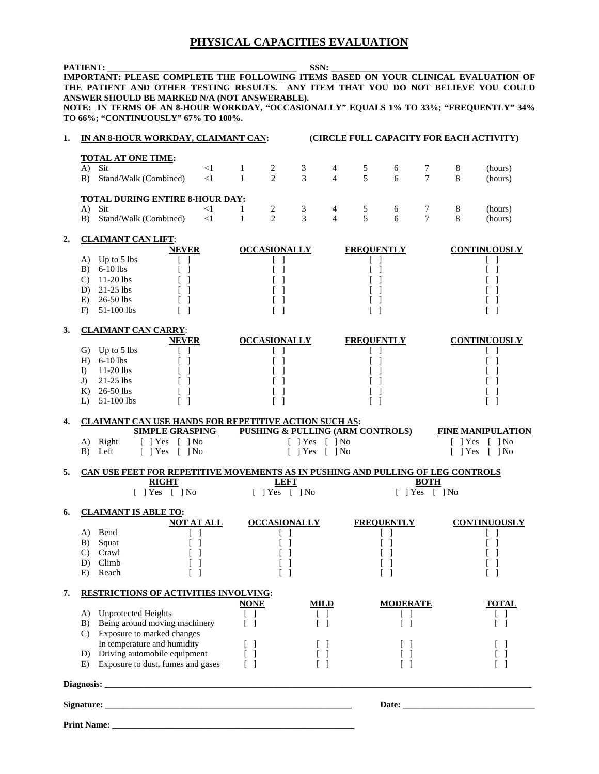## **PHYSICAL CAPACITIES EVALUATION**

**PATIENT: \_\_\_\_\_\_\_\_\_\_\_\_\_\_\_\_\_\_\_\_\_\_\_\_\_\_\_\_\_\_\_\_\_\_\_\_\_\_\_\_\_\_\_ SSN: \_\_\_\_\_\_\_\_\_\_\_\_\_\_\_\_\_\_\_\_\_\_\_\_\_\_\_\_\_\_\_\_\_\_\_\_\_\_\_\_\_\_\_ IMPORTANT: PLEASE COMPLETE THE FOLLOWING ITEMS BASED ON YOUR CLINICAL EVALUATION OF THE PATIENT AND OTHER TESTING RESULTS. ANY ITEM THAT YOU DO NOT BELIEVE YOU COULD ANSWER SHOULD BE MARKED N/A (NOT ANSWERABLE). NOTE: IN TERMS OF AN 8-HOUR WORKDAY, "OCCASIONALLY" EQUALS 1% TO 33%; "FREQUENTLY" 34% TO 66%; "CONTINUOUSLY" 67% TO 100%. 1. IN AN 8-HOUR WORKDAY, CLAIMANT CAN: (CIRCLE FULL CAPACITY FOR EACH ACTIVITY) TOTAL AT ONE TIME:**  A) Sit <1 1 2 3 4 5 6 7 8 (hours) B) Stand/Walk (Combined) <1 1 2 3 4 5 6 7 8 (hours) **TOTAL DURING ENTIRE 8-HOUR DAY:**  A) Sit <1 1 2 3 4 5 6 7 8 (hours) B) Stand/Walk (Combined) <1 1 2 3 4 5 6 7 8 (hours) **2. CLAIMANT CAN LIFT**: **NEVER OCCASIONALLY FREQUENTLY CONTINUOUSLY**  A) Up to 5 lbs [ ] [ ] [ ] [ ] [ ] B) 6-10 lbs [ ] [ ] [ ] [ ] [ ] C) 11-20 lbs [ ] [ ] [ ] [ ] [ ] D) 21-25 lbs  $[$   $]$   $[$   $]$   $[$   $]$   $[$   $]$   $[$   $]$   $[$   $]$   $[$   $]$ E) 26-50 lbs  $[ ]$  [ ]  $[ ]$  [ ] [ ]  $[ ]$ F) 51-100 lbs  $[ ]$  [ ]  $[ ]$  [ ]  $[ ]$ **3. CLAIMANT CAN CARRY**: **NEVER OCCASIONALLY FREQUENTLY CONTINUOUSLY**  G) Up to 5 lbs  $[$   $]$   $[$   $]$   $[$   $]$   $[$   $]$   $[$   $]$   $[$   $]$ H) 6-10 lbs [ ] [ ] [ ] [ ] [ ] I) 11-20 lbs [ ] [ ] [ ] [ ] J) 21-25 lbs  $[$   $]$   $[$   $]$   $[$   $]$   $[$   $]$   $[$   $]$   $[$   $]$ K) 26-50 lbs [ ] [ ] [ ] [ ] L) 51-100 lbs [ ] [ ] [ ] [ ] [ ] **4. CLAIMANT CAN USE HANDS FOR REPETITIVE ACTION SUCH AS: PUSHING & PULLING (ARM CONTROLS) FINE MANIPULATION** A) Right [ ] Yes [ ] No [ ] Yes [ ] Yes [ ] Yes [ ] Yes [ ] Yes [ ] No B) Left [ ] Yes [ ] No [ ] Yes [ ] Yes [ ] Yes [ ] Yes [ ] Yes [ ] No [ ] Yes [ ] No **5. CAN USE FEET FOR REPETITIVE MOVEMENTS AS IN PUSHING AND PULLING OF LEG CONTROLS RIGHT LEFT BOTH** [ ] Yes [ ] No [ ] Yes [ ] No [ ] Yes [ ] No **6. CLAIMANT IS ABLE TO: NOT AT ALL OCCASIONALLY FREQUENTLY CONTINUOUSLY**  A) Bend [ ] [ ] [ ] [ ] [ ] B) Squat [ ] [ ] [ ] [ ] [ ] C) Crawl  $[ ]$  [ ]  $[ ]$  [ ]  $[ ]$  [ ]  $[ ]$ D) Climb [ ] [ ] [ ] [ ] [ ] E) Reach [ ] [ ] [ ] [ ] [ ] **7. RESTRICTIONS OF ACTIVITIES INVOLVING: NONE MILD MODERATE TOTAL**  A) Unprotected Heights [ ] [ ] [ ] [ ] [ ] [ ] B) Being around moving machinery [ ] [ ] [ ] [ ] [ ] C) Exposure to marked changes In temperature and humidity  $[ ]$   $[ ]$   $[ ]$   $[ ]$   $[ ]$   $[ ]$ D) Driving automobile equipment [ ] [ ] [ ] [ ] [ ] [ ] Exposure to dust, fumes and gases  $\begin{bmatrix} 1 & 1 \\ 1 & 1 \end{bmatrix}$  [ ] [ ] [ ] **Diagnosis: \_\_\_\_\_\_\_\_\_\_\_\_\_\_\_\_\_\_\_\_\_\_\_\_\_\_\_\_\_\_\_\_\_\_\_\_\_\_\_\_\_\_\_\_\_\_\_\_\_\_\_\_\_\_\_\_\_\_\_\_\_\_\_\_\_\_\_\_\_\_\_\_\_\_\_\_\_\_\_\_\_\_\_\_\_\_\_\_\_\_\_\_\_\_\_\_\_ Signature: \_\_\_\_\_\_\_\_\_\_\_\_\_\_\_\_\_\_\_\_\_\_\_\_\_\_\_\_\_\_\_\_\_\_\_\_\_\_\_\_\_\_\_\_\_\_\_\_\_\_\_\_\_\_\_\_ Date: \_\_\_\_\_\_\_\_\_\_\_\_\_\_\_\_\_\_\_\_\_\_\_\_\_\_\_\_\_\_**  Print Name: